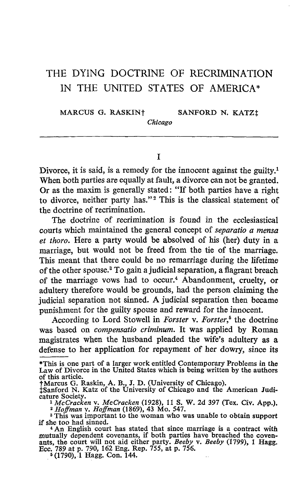## THE DYING DOCTRINE OF RECRIMINATION IN THE UNITED STATES OF AMERICA\*

MARCUS G. RASKIN<sup>†</sup> SANFORD N. KATZ!

T.

Chicago

Divorce, it is said, is a remedy for the innocent against the guilty.<sup>1</sup> When both parties are equally at fault, a divorce can not be granted. Or as the maxim is generally stated : "If both parties have a right to divorce, neither party has."<sup>2</sup> This is the classical statement of the doctrine of recrimination.

The doctrine of recrimination is found in the ecclesiastical courts which maintained the general concept of separatio a mensa et thoro. Here a party would be absolved of his (her) duty in a marriage, but would not be freed from the tie of the marriage. This meant that there could be no remarriage during the lifetime of the other spouse.' To gain a judicial separation, a flagrant breach of the marriage vows had to occur.' Abandonment, cruelty, or adultery therefore would be grounds, had the person claiming the judicial separation not sinned. A judicial separation then became punishment for the guilty spouse and reward for the innocent.

According to Lord Stowell in Forster v. Forster,<sup>5</sup> the doctrine was based on compensatio criminum. It was applied by Roman magistrates when the husband pleaded the wife's adultery as a defense to her application for repayment of her dowry, since its

of this article.<br>†Marcus G. Raskin, A. B., J. D. (University of Chicago).<br>†Sonford N. Katz of the University of Chicago and the

\$Sanford N. Katz of the University of Chicago and the American Judicature Society.

 $1 McCracken$  v.  $McCracken$  (1928), 11 S. W. 2d 397 (Tex. Civ. App.).

<sup>2</sup> Hoffman v. Hoffman (1869), 43 Mo. 547.<br><sup>3</sup> This was important to the woman who was unable to obtain support

if she too had sinned.<br>
<sup>4</sup> An English court has stated that since marriage is a contract with<br>
mutually dependent covenants, if both parties have breached the coven-<br>
ants, the court will not aid either party. *Beeby* v. Ecc. 789 at p. 790, 162 Eng. Rep. 755, at p. 756.<br><sup>5</sup> (1790), 1 Hagg. Con. 144.

<sup>\*</sup>This is one part of a larger work entitled Contemporary Problems in the Law of Divorce in the United States which is being written by the authors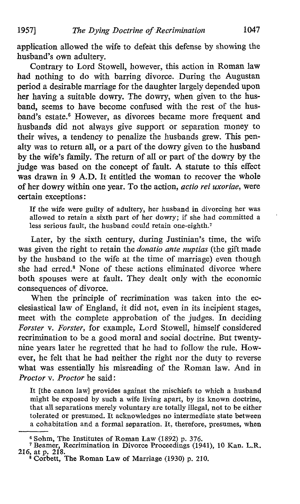application allowed the wife to defeat this defense by showing the husband's own adultery.

Contrary to Lord Stowell, however, this action in Roman law had nothing to do with barring divorce. During the Augustan period a desirable marriage for the daughter largely depended upon her having a suitable dowry. The dowry, when given to. the husband, seems to have become confused with the rest of the husband's estate.<sup>6</sup> However, as divorces became more frequent and husbands did not always give support or separation money to their wives, a tendency to penalize the husbands grew. This penalty was to return all, or a part of the dowry given to the husband by the wife's family. The return of all or part of the dowry by the judge was based on the concept of fault. A statute to this effect was drawn in 9 A.D. It entitled the woman to recover the whole of her dowry within one year. To the action, actio rei uxoriae, were certain exceptions :

If the wife were guilty of adultery, her husband in divorcing her was allowed to retain a sixth part of her dowry; if she had committed a less serious fault, the husband could retain one-eighth.?

Later, by the sixth century, during Justinian's time, the wife was given the right to retain the *donatio ante nuptias* (the gift made by the husband to the wife at the time of marriage) even though she had erred.' None of these actions eliminated divorce where both spouses were at fault. They dealt only with the economic consequences of divorce.

When the principle of recrimination was taken into the ecclesiastical law of England, it did not, even in its incipient stages, meet with the complete approbation of the judges. In deciding Forster v. Forster, for example, Lord Stowell, himself considered recrimination to be a good moral and social doctrine. But twentynine years later he regretted that he had to follow the rule. However, he felt that he had neither the right nor the duty to reverse what was essentially his misreading of the Roman law. And in Proctor v. Proctor he said:

It [the canon law] provides against the mischiefs to which a husband might be exposed by such a wife living apart, by its known doctrine, that all separations merely voluntary are totally illegal, not to be either tolerated or presumed. It acknowledges no intermediate state between a cohabitation and a formal separation. It, therefore, presumes, when

<sup>&</sup>lt;sup>6</sup> Sohm, The Institutes of Roman Law (1892) p. 376.<br>
<sup>7</sup> Beamer, Recrimination in Divorce Proceedings (1941), 10 Kan. L.R.<br>
<sup>216</sup>, at p. 218.<br>
<sup>8</sup> Corbett, The Roman Law of Marriage (1930) p. 210.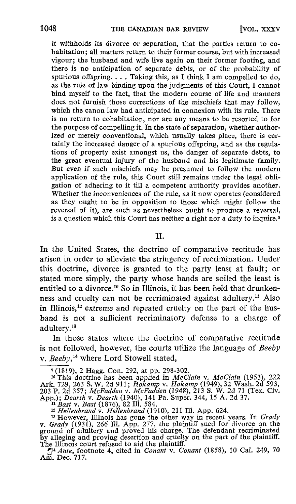it withholds its divorce or separation, that the parties return to cohabitation; all matters return to their former course, but with increased vigour; the husband and wife live again on their former footing, and there is no anticipation of separate debts, or of the probability of spurious offspring.  $\ldots$  Taking this, as I think I am compelled to do, as the rule of law binding upon the judgments of this Court, I cannot bind myself to the fact, that the modern course of life and manners does not furnish those corrections of the mischiefs that may follow, which the canon law had anticipated in connexion with its rule. There is no return to cohabitation, nor are any means to be resorted to for the purpose of compelling it. In the state of separation, whether authorized or merely conventional, which usually takes place, there is certainly the increased danger of a spurious offspring, and as the regulations of property exist amongst us, the danger of separate debts, to the great eventual injury of the husband and his legitimate family. But even if such mischiefs may be presumed to follow the modern application of the rule, this Court still remains under the legal obligation of adhering to it till a competent authority provides another. Whether the inconveniences of the rule, as it now operates (considered as they ought to be in opposition to those which might follow the reversal of it), are such as nevertheless ought to produce a reversal, is a question which this Court has neither a right nor a duty to inquire.<sup>9</sup>

## TT.

In the United States, the doctrine of comparative rectitude has arisen in order to alleviate the stringency of recrimination. Under this doctrine, divorce is granted to the party least at fault; or stated more simply, the party whose hands are soiled the least is entitled to a divorce.<sup>10</sup> So in Illinois, it has been held that drunkenness and cruelty can not be recriminated against adultery.<sup>11</sup> Also in Illinois, $12$  extreme and repeated cruelty on the part of the husband is not a sufficient recriminatory defense to a charge of adultery.<sup>13</sup>

In those states where the doctrine of comparative rectitude is not followed, however, the courts utilize the language of Beeby v. Beeby,<sup>14</sup> where Lord Stowell stated,

<sup>9</sup> (1819), 2 Hagg. Con. 292, at pp. 298-302.<br>
<sup>10</sup> This doctrine has been applied in *McClain* v. *McClain* (1953), 222<br>
Ark. 729, 263 S. W. 2d 911; *Hokamy* v. *Hokamn* (1949), 32 Wash. 2d 593,<br>
203 P. 2d 357; *McFadden* 

<sup>13</sup> However, Illinois has gone the other way in recent years. In *Grady* y. *Grady* (1931), 266 Ill. App. 277, the plaintiff sued for divorce on the ground of adultery and proved his charge. The defendant recriminated by alleging and proving desertion and cruelty on the part of the plaintiff.<br>The Illingia count urband to gid the plaintiff.

The Illinois court refused to aid the plaintiff.<br>  $\int_{1}^{\pi} A n t e$ , footnote 4, cited in *Conant* v. *Conant* (1858), 10 Cal. 249, 70<br>
Am. Dec. 717.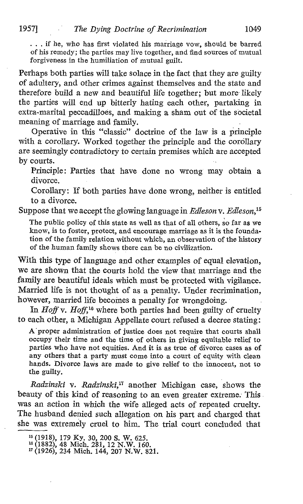. . . if he, who has first violated his marriage vow, should be barred of his remedy; the parties may live together, and find sources of mutual forgiveness in the humiliation of mutual guilt.

Perhaps both parties will take solace in the fact that they are guilty of adultery, and other crimes against themselves and the state and therefore build a new and beautiful life together; but more- likely the parties will end up bitterly hating each other, partaking in extra-marital peccadilloes, and making a sham out of the societal meaning of marriage and family.

Operative in this "classic" doctrine of the law is a principle with a corollary. Worked together the principle and the corollary are seemingly contradictory to certain premises which are accepted by courts.

Principle: Parties that have done no wrong may obtain a divorce.

Corollary: If both parties have done wrong, neither is entitled to a divorce.

Suppose that we accept the glowing language in Edleson v. Edleson,  $15$ 

The public policy of this state as well as that of all others, so far as we know, is to foster, protect, and encourage marriage as it is the foundation of the family relation without which, an observation of the history of the human family shows there can be no civilization.

With this type of language and other examples of equal elevation, we are shown that the courts hold the view that marriage and the family are beautiful ideals which must be protected with vigilance. Married life is not thought of as a penalty. Under recrimination, however, married life becomes a penalty for wrongdoing.

In Hoff v. Hoff,<sup>16</sup> where both parties had been guilty of cruelty to each other, a Michigan Appellate court refused a decree stating :

A'proper administration of justice does not require that courts shall occupy their time and the time of others in giving equitable relief to parties who have not equities. And it is as true of divorce cases as of any others that a party must come into a court of equity with clean hands. Divorce laws are made to give relief to the innocent, not to the guilty.

Radzinski v. Radzinski,<sup>17</sup> another Michigan case, shows the beauty of this kind of reasoning to an even greater extreme: This was an action in which the wife alleged acts of repeated cruelty. The husband denied such allegation on his part and charged that she was extremely cruel to him. The trial court concluded that

<sup>&</sup>lt;sup>15</sup> (1918), 179 Ky. 30, 200 S. W. 625.<br><sup>16</sup> (1882), 48 Mich. 281, 12 N.W. 160.<br><sup>17</sup> (1926), 234 Mich. 144, 207 N.W. 821.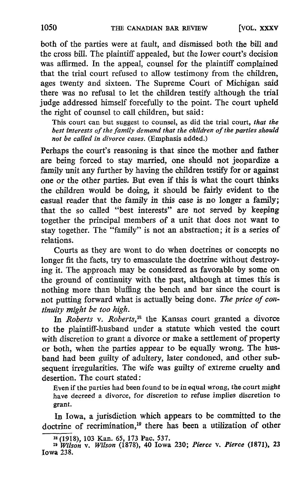both of the parties were at fault, and dismissed both the bill and the cross bill. The plaintiff appealed, but the lower court's decision was affirmed. In the appeal, counsel for the plaintiff complained that the trial court refused to allow testimony from the children, ages twenty and sixteen. The Supreme Court of Michigan said there was no refusal to let the children testify although the trial judge addressed himself forcefully to the point. The court upheld the right of counsel to call children, but said :

This court can but suggest to counsel, as did the trial court, that the best interests of the family demand that the children of the parties should not be called in divorce cases. (Emphasis added.)

Perhaps the court's reasoning is that since the mother and father are being forced to stay married, one should not jeopardize a family unit any further by having the children testify for or against one or the other parties. But even if this is what the court thinks the children would be doing, it should be fairly evident to the casual reader that the family in this case is no longer a family ; that the so called "best interests" are not served by keeping together the principal members of a unit that does not want to stay together. The "family" is not an abstraction ; it is a series of relations.

Courts as they are wont to do when doctrines or concepts no longer fit the facts, try to emasculate the doctrine without destroying it . The approach may be considered as favorable by some on the ground of continuity with the past, although at times this is nothing more than bluffing the bench and bar since the court is not putting forward what is actually being done. The price of continuity might be too high.

In Roberts v. Roberts,<sup>18</sup> the Kansas court granted a divorce to the plaintiffhusband under a statute which vested the court with discretion to grant a divorce or make a settlement of property or both, when the parties appear to be equally wrong. The husband had been guilty of adultery, later condoned, and other subsequent irregularities. The wife was guilty of extreme cruelty and desertion. The court stated :

Even if the parties had been found to be in equal wrong, the court might have decreed a divorce, for discretion to refuse implies discretion to grant.

In Iowa, a jurisdiction which appears to be committed to the doctrine of recrimination,<sup>19</sup> there has been a utilization of other

<sup>18</sup> (1918), 103 Kan. 65, 173 Pac. 537.

<sup>&</sup>lt;sup>19</sup> Wilson v. Wilson (1878), 40 Iowa 230; Pierce v. Pierce (1871), 23 Iowa 238.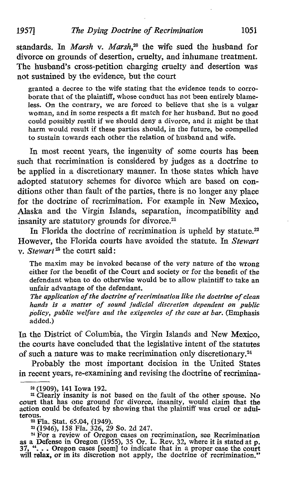standards. In Marsh v. Marsh,<sup>20</sup> the wife sued the husband for divorce on grounds of desertion, cruelty, and inhumane treatment. The husband's cross-petition charging cruelty and desertion was not sustained by the evidence, but the court

granted a decree to the wife stating that the evidence tends to corroborate that of the plaintiff, whose conduct has not been entirely blameless. On the contrary, we are forced to believe that she is a vulgar woman, and in some respects a fit match for her husband. But no good could possibly result if we should deny a divorce, and it might be that harm would result if these parties should, in the future, be compelled to sustain towards each other the relation of husband and wife.

In most recent years, the ingenuity of some courts has been such that recrimination is considered by judges as a doctrine to be applied in a discretionary manner. In those states which have adopted statutory schemes for divorce which are based on conditions other than fault of the parties, there is no longer any place for the doctrine of recrimination. For example in New Mexico, Alaska and the Virgin Islands, separation, incompatibility and insanity are statutory grounds for divorce.<sup>21</sup>

In Florida the doctrine of recrimination is upheld by statute. $22$ However, the Florida courts have avoided the statute. In Stewart v. Stewart<sup>23</sup> the court said:

The maxim may be invoked because of the very nature of the wrong either for the benefit of the Court and society or for the benefit of the defendant when to do otherwise would be to allow plaintiff to take an unfair advantage of the defendant.

The application of the doctrine of recrimination like the doctrine of clean hands is a matter of sound judicial discretion dependent on public policy, public welfare and the exigencies of the case at bar. (Emphasis added.)

In the District of Columbia, the Virgin Islands and New Mexico, the courts have concluded that the legislative intent of the statutes of such a nature was to make recrimination only discretionary. <sup>24</sup>

Probably the most important decision in the United States in recent years, re-examining and revising the doctrine of recrimina-

<sup>20</sup> (1909), 141 Iowa 192.

<sup>&</sup>lt;sup>21</sup> Clearly insanity is not based on the fault of the other spouse. No court that has one ground for divorce, insanity, would claim that the action could be defeated by showing that the plaintiff was cruel or adul-<br>terous. terous. <sup>22</sup> Fla. Stat . 65 .04, (1949).

<sup>&</sup>lt;sup>23</sup> (1946), 158 Fla. 326, 29 So. 2d 247.<br><sup>24</sup> For a review of Oregon cases on recrimination, see Recrimination<br>as a Defense in Oregon (1955), 35 Or. L. Rev. 32, where it is stated at p.<br>37, "... Oregon cases [seem] to in will relax, or in its discretion not apply, the doctrine of recrimination."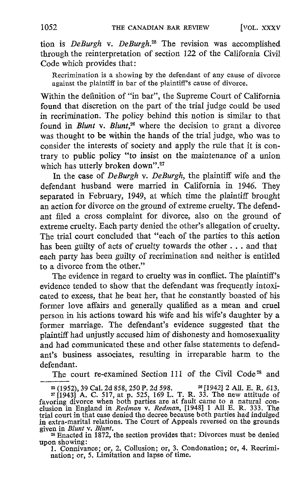tion is DeBurgh v. DeBurgh.<sup>25</sup> The revision was accomplished through the reinterpretation of section 122 of the California Civil Code which provides that :

Recrimination is a showing by the defendant of any cause of divorce against the plaintiff in bar of the plaintiff's cause of divorce.

Within the definition of "in bar", the Supreme Court of California found that discretion on the part of the trial judge could be used in recrimination. The policy behind this notion is similar to that found in Blunt v. Blunt,<sup>26</sup> where the decision to grant a divorce was thought to be within the hands of the trial judge, who was to consider the interests of society and apply the rule that it is contrary to public policy "to insist on the maintenance of a union which has utterly broken down".<sup>27</sup>

In the case of *DeBurgh v. DeBurgh*, the plaintiff wife and the defendant husband were married in California in 1946. They separated in February, 1949, at which time the plaintiff brought an action for divorce on the ground of extreme cruelty. The defendant filed a cross complaint for divorce, also on the ground of extreme cruelty. Each party denied the other's allegation of cruelty. The trial court concluded that "each of the parties to this action has been guilty of acts of cruelty towards the other . . . and that each party has been guilty of recrimination and neither is entitled to a divorce from the other."

The evidence in regard to cruelty was in conflict. The plaintiff's evidence tended to show that the defendant was frequently intoxicated to excess, that he beat her, that he constantly boasted of his former love affairs and generally qualified as a mean and cruel person in his actions toward his wife and his wife's daughter by a former marriage. The defendant's evidence suggested that the plaintiff had unjustly accused him of dishonesty and homosexuality and had communicated these and other false statements to defendant's business associates, resulting in irreparable harm to the defendant.

The court re-examined Section 111 of the Civil Code<sup>28</sup> and

given in *Blunt* v. *Blunt*.<br><sup>28</sup> Enacted in 1872, the section provides that: Divorces must be denied upon showing :

1. Connivance; or, 2. Collusion; or, 3. Condonation; or, 4. Recrimination; or, 5. Limitation and lapse of time.

<sup>&</sup>lt;sup>25</sup> (1952), 39 Cal. 2d 858, 250 P. 2d 598. <sup>26</sup> [1942] 2 All. E. R. 613.<br><sup>27</sup> [1943] A. C. 517, at p. 525, 169 L. T. R. 33. The new attitude of favoring divorce when both parties are at fault came to a natural conclusion in extra-marital relations. The Court of Appeals reversed on the grounds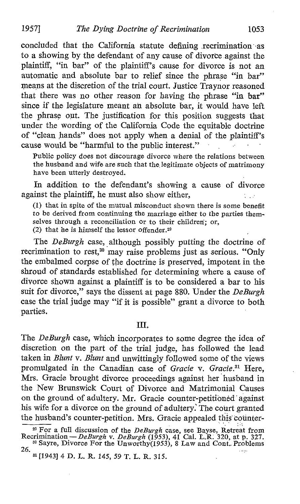concluded that the California statute defining recrimination -as to a showing by the defendant of any cause of divorce against the plaintiff, "in bar" of the plaintiff's cause for divorce is not an automatic and absolute bar to relief since the phrase "in bar" means at the discretion of the trial court. Justice Traynor reasoned that there was no other reason for having the phrase "in bar" since if the legislature meant an absolute bar, it would have left the phrase out. The justification for this position suggests that under the wording of the California Code the equitable doctrine of "clean hands" does not apply when a denial of the plaintiff's cause would be "harmful to the public interest."

Public policy does not discourage divorce where the relations between the husband and wife are such that the legitimate objects of matrimony have been utterly destroyed.

In addition to the defendant's showing a cause of divorce against the plaintiff, he must also show either, \* 100

(1) that in spite of the mutual misconduct shown there is some benefit to be derived from continuing the marriage either to the parties themselves through a reconciliation or to their children; or, (2) that he is himself the lessor offender.<sup>29</sup>

The DeBurgh case, although possibly putting the doctrine of recrimination to rest,<sup>30</sup> may raise problems just as serious. "Only the embalmed corpse of the doctrine is preserved, impotent in the shroud of standards established for determining where a cause of divorce shown against a plaintiff is to be considered a bar to his suit for divorce," says the dissent at page 880. Under the DeBurgh case the trial judge may "if it is possible" grant a divorce to both parties.

## TIT.

The DeBurgh case, which incorporates to some degree the idea of discretion on the part of the trial judge, has followed the lead taken in Blunt v. Blunt and unwittingly followed some of the views promulgated in the Canadian case of Gracie v. Gracie.<sup>31</sup> Here, Mrs. Gracie brought divorce proceedings against her husband in the New Brunswick Court of Divorce and Matrimonial Causes on the ground of adultery. Mr. Gracie counter-petitioned against his wife for a divorce on the ground of adultery: The court granted the husband's counter-petition. Mrs. Gracie appealed this counter-

<sup>&</sup>lt;sup>29</sup> For a full discussion of the *DeBurgh* case, see Bayse, Retreat from Recrimination -- *DeBurgh v. DeBurgh* (1953), 41 Cal. L.R. 320, at p. 327. <sup>30</sup> Sayre, Divorce For the Unworthy(1953), 8 Law and Cont. Problems 26.

<sup>&</sup>lt;sup>31</sup> [1943] 4 D. L. R. 145, 59 T. L. R. 315.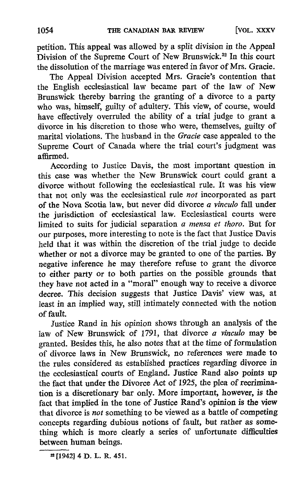petition. This appeal was allowed by a split division in the Appeal Division of the Supreme Court of New Brunswick.<sup>32</sup> In this court the dissolution of the marriage was entered in favor of Mrs. Gracie.

The Appeal Division accepted Mrs. Gracie's contention that the English ecclesiastical law became part of the law of New Brunswick thereby barring the granting of a divorce to a party who was, himself, guilty of adultery. This view, of course, would have effectively overruled the ability of a trial judge to grant a divorce in his discretion to those who were, themselves, guilty of marital violations. The husband in the Gracie case appealed to the Supreme Court of Canada where the trial court's judgment was affirmed.

According to Justice Davis, the most important question in this case was whether the New Brunswick court could grant a divorce without following the ecclesiastical rule. It was his view that not only was the ecclesiastical rule not incorporated as part of the Nova Scotia law, but never did divorce  $\alpha$  vinculo fall under the jurisdiction of ecclesiastical law. Ecclesiastical courts were limited to suits for judicial separation a mensa et thoro. But for our purposes, more interesting to note is the fact that Justice Davis held that it was within the discretion of the trial judge to decide whether or not a divorce may be granted to one of the parties. By negative inference he may therefore refuse to grant the divorce to either party or to both parties on the possible grounds that they have not acted in a "moral" enough way to receive a divorce decree. This decision suggests that Justice Davis' view was, at least in an implied way, still intimately connected with the notion of fault.

Justice Rand in his opinion shows through an analysis of the law of New Brunswick of 1791, that divorce a vinculo may be granted. Besides this, he also notes that at the time of formulation of divorce laws in New Brunswick, no references were made to the rules considered as established practices regarding divorce in the ecclesiastical courts of England. Justice Rand also points up the fact that under the Divorce Act of 1925, the plea of recrimination is a discretionary bar only. More important, however, is the fact that implied in the tone of Justice Rand's opinion is the view that divorce is not something to be viewed as a battle of competing concepts regarding dubious notions of fault, but rather as something which is more clearly a series of unfortunate difficulties between human beings.

<sup>32</sup> [194214 D. L. R. <sup>451</sup> .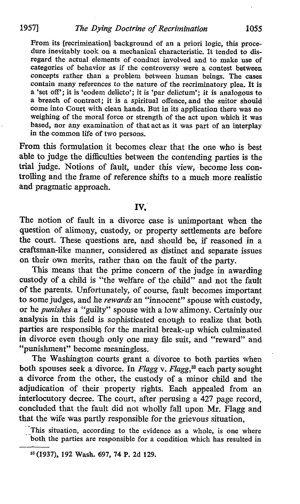From its [recrimination] background of an <sup>a</sup> priori logic, this procedure inevitably took on a mechanical characteristic. It tended to disregard the actual elements of conduct involved and to make use of categories of behavior as if the controversy were a contest between concepts rather than a problem between human beings. The cases contain many references to the nature of the recriminatory plea. It is a 'set off'; it is 'eodem delicto'; it is 'par delictum'; it is analogous to a breach of contract; it is a spiritual offence, and the suitor should come into Court with clean hands. But in its application there was no weighing of the moral force or strength of the act upon which it was based, nor any examination of that act as it was part of an interplay in the common life of two persons.

From this formulation it becomes clear that the one who is best able to judge the difficulties between the contending parties is the trial judge. Notions of fault, under this view, become less controlling and the frame of reference shifts to a much more realistic and pragmatic approach.

## IV

The notion of fault in a divorce case is unimportant when the question of alimony, custody, or property settlements are before the court. These questions are, and should be, if reasoned in a craftsman-like manner, considered as distinct and separate issues on their own merits, rather than on the fault of the party.

This means that the prime concern of the judge in awarding custody of a child is "the welfare of the child" and not the fault of the parents. Unfortunately, of course, fault becomes important to some judges, and he rewards an "innocent" spouse with custody, or he punishes a "guilty" spouse with a low alimony. Certainly our analysis in this field is sophisticated enough to realize that both parties are responsible, for the marital break-up which culminated in divorcé even though only one may file suit, and "reward" and "punishment" become meaningless.

The Washington courts grant a divorce to both parties when both spouses seek a divorce. In Flagg v. Flagg,<sup>33</sup> each party sought a divorce from the other, the custody of a minor child and the adjudication of their property rights. Each appealed from an interlocutory decree. The court, after perusing a 427 page record, concluded that the fault did not wholly fall upon Mr. Flagg and that the wife was partly responsible for the grievous situation,

This situation, according to the evidence as a whole, is one where both the parties are responsible for a condition which has resulted in

<sup>31</sup> (1937), 192 Wash. 697, 74 P. 2d 129.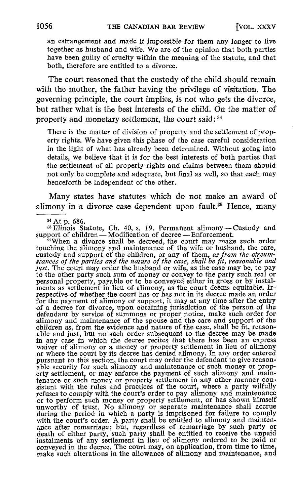an estrangement and made it impossible for them any longer to live together as husband and wife. We are of the opinion that both parties have been guilty of cruelty within the meaning of the statute, and that both, therefore are entitled to a divorce.

The court reasoned that the custody of the child should remain with the mother, the father having the privilege of visitation. The governing principle, the court implies, is not who gets the divorce, but rather what is the best interests of the child. On the matter of property and monetary settlement, the court said : 34

There is the matter of division of property and the settlement of property rights. We have given this phase of the case careful consideration in the light of what has already been determined. Without going into details, we believe that it is for the best interests of both parties that the settlement of all property rights and claims between them should not only be complete and adequate, but final as well, so that each may henceforth be independent of the other.

Many states have statutes which do not make an award of alimony in a divorce case dependent upon fault.<sup>35</sup> Hence, many

Illinois Statute, Ch. 40, s. 19. Permanent alimony-Custody and support of children — Modification of decree — Enforcement.

When a divorce shall be decreed, the court may make such order touching the alimony and maintenance of the wife or husband, the care, custody and support of the children, or any of them, as from the circumstances of the parties and the nature of the case, shall be fit, reasonable and just. The court may order the husband or wife, as the case may be, to pay to the other party such sum of money or convey to the party such real or personal property, payable or to be conveyed either in gross or by instalments as settlement in lieu of alimony, as the court deems equitable. Irrespective of whether the court has or has not in its decree made an order for the payment of alimony or support, it may at any time after the entry of a decree for divorce, upon obtaining jurisdiction of the person of the defendant by service of summons or proper notice, make such order for alimony and maintenance of the spouse and the care and support of the children as, from the evidence and nature of the case, shall be fit, reason-able and just, but no such order subsequent to the decree may be made in any case in which the decree recites that there has been an express waiver of alimony or a money or property settlement in lieu of alimony or where the court by its decree has denied alimony . In any order entered pursuant to this section, the court may order the defendant to give reasonable security for such alimony and maintenance or such money or property settlement, or may enforce the payment of such alimony and maintenance or such money or property settlement in any other manner consistent with the rules and practices of the court, where a party wilfully refuses to comply with the court's order to pay alimony and maintenance or to pe unworthy of trust. No alimony or separate maintenance shall accrue<br>during the period in which a party is imprisoned for failure to comply<br>with the court's order. A party shall be entitled to alimony and mainten-<br>ance after death of either party, such party shall be entitled to receive the unpaid<br>instalments of any settlement in lieu of allmony ordered to be paid or<br>conveyed in the decree. The court may, on application, from time to time,<br>mak

a4 At p. 686.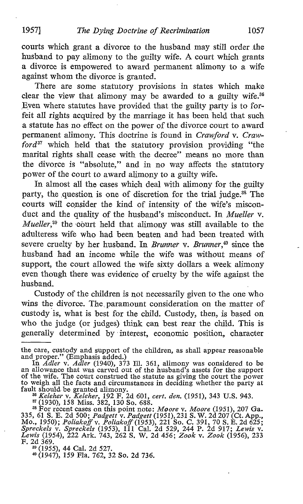1957] The Dying Doctrine of Recrimination 1057

courts which grant a divorce to the husband may still order the husband to pay alimony to the guilty wife. A court which grants a divorce is empowered to award permanent alimony to a wife against whom the divorce is granted.

There are some statutory provisions in states which make clear the view that alimony may be awarded to a guilty wife.<sup>36</sup> Even where statutes have provided that the guilty party is to for feit all rights acquired by the marriage it has been held that such a statute has no effect on the power of the divorce court to award permanent alimony. This doctrine is found in Crawford v. Craw $ford^{37}$  which held that the statutory provision providing "the marital rights shall cease with the decree" means no more than the divorce is "absolute," and in no way affects the statutory power of the court to award alimony to a guilty wife.

In almost all the cases which deal with alimony for the guilty party, the question is one of discretion for the trial judge.<sup>38</sup> The courts will consider the kind of intensity of the wife's misconduct and the quality of the husband's misconduct. In Mueller v.  $Mueller$ ,<sup>39</sup> the court held that alimony was still available to the adulteress wife who had been beaten and had been treated with severe cruelty by her husband. In Brunner v. Brunner, $40$  since the husband had an income while the wife was without means of support, the court allowed the wife sixty dollars a week alimony even though there was evidence of cruelty by the wife against the husband.

Custody of the children is not necessarily given to the one who wins the divorce. The paramount consideration on the matter of custody is, what is best for the child. Custody, then, is based on who the judge (or judges) think can best rear the child. This is generally determined by interest, economic position, character

fault should be granted alimony.<br>
<sup>36</sup> Keleher v. Keleher, 192 F. 2d 601, cert. den. (1951), 343 U.S. 943.<br>
<sup>37</sup> (1930), 158 Miss. 382, 130 So. 688.<br>
<sup>33</sup> For recent cases on this point note: *Moore* v. *Moore* (1951), 207

<sup>31</sup> (1955), 44 Cal. 2d 527. <sup>10</sup> (1947), 159 Fla. 762, 32 So. 2d 736.

the care, custody and support of the children, as shall appear reasonable<br>and proper." (Emphasis added.)<br>In Adler v. Adler (1940), 373 Ill. 361, alimony was considered to be

an allowance that was carved out of the husband's assets for the support of the wife. The court construed the statute as giving the court the power to weigh all the facts and circumstances in deciding whether the party at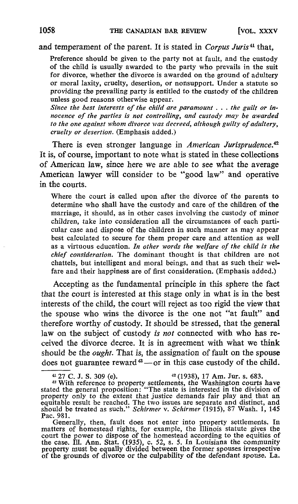and temperament of the parent. It is stated in Corpus Juris<sup>41</sup> that,

Preference should be given to the party not at fault, and the custody of the child is usually awarded to the party who prevails in the suit for divorce, whether the divorce is awarded on the ground of adultery or moral laxity, cruelty, desertion, or nonsupport. Under a statute so providing the prevailing party is entitled to the custody of the children unless good reasons otherwise appear.

Since the best interests of the child are paramount . . . the guilt or innocence of the parties is not controlling, and custody may be awarded to the one against whom divorce was decreed, although guilty of adultery, cruelty or desertion. (Emphasis added.)

There is even stronger language in American Jurisprudence.<sup>42</sup> It is, of course, important to note what is stated in these collections of American law, since here we are able to see what the average American lawyer will consider to be "good law" and operative in the courts.

Where the court is called upon after the divorce of the parents to determine who shall have the custody and care of the children of the marriage, it should, as in other cases involving the custody of minor children, take into consideration all the circumstances of each particular case and dispose of the children in such manner as may appear best calculated to secure for them proper care and attention as well as a virtuous education. In other words the welfare of the child is the chief consideration. The dominant thought is that children are not chattels, but intelligent and moral beings, and that as such their welfare and their happiness are of first consideration. (Emphasis added.)

Accepting as the fundamental principle in this sphere the fact that the court is interested at this stage only in what is in the best interests of the child, the court will reject as too rigid the view that the spouse who wins the divorce is the one not "at fault" and therefore worthy of custody. It should be stressed, that the general law on the subject of custody is not connected with who has received the divorce decree. It is in agreement with what we think should be the *ought*. That is, the assignation of fault on the spouse does not guarantee reward  $43$  -- or in this case custody of the child.

<sup>42</sup> (1938), 17 Am. Jur. s. 683.<br><sup>43</sup> With reference to property settlements, the Washington courts have stated the general proposition: "The state is interested in the division of property only to the extent that justice demands fair play and that an equitable result be reached. The two issues are separate and distinct, and Pac. 981.

Generally, then, fault does not enter into property settlements. In<br>matters of homestead rights, for example, the Illinois statute gives the<br>court the power to dispose of the homestead according to the equities of<br>the case property must be equally divided between the former spouses irrespective<br>of the success of diverges as the animalities of the defendant answer. Let of the grounds of divorce or the culpability of the defendant spouse. La.